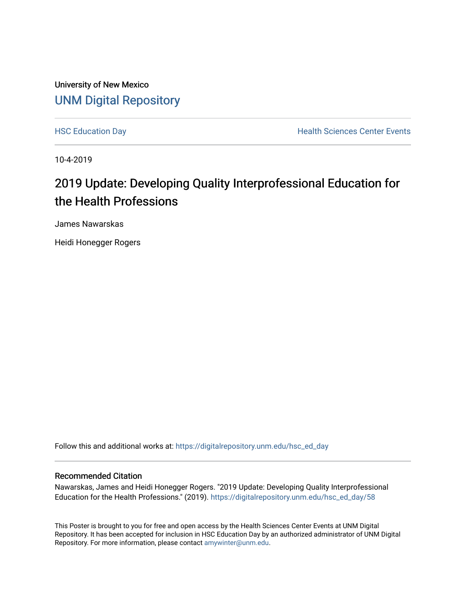University of New Mexico [UNM Digital Repository](https://digitalrepository.unm.edu/) 

[HSC Education Day](https://digitalrepository.unm.edu/hsc_ed_day) **Health Sciences Center Events** 

10-4-2019

## 2019 Update: Developing Quality Interprofessional Education for the Health Professions

James Nawarskas

Heidi Honegger Rogers

Follow this and additional works at: [https://digitalrepository.unm.edu/hsc\\_ed\\_day](https://digitalrepository.unm.edu/hsc_ed_day?utm_source=digitalrepository.unm.edu%2Fhsc_ed_day%2F58&utm_medium=PDF&utm_campaign=PDFCoverPages) 

### Recommended Citation

Nawarskas, James and Heidi Honegger Rogers. "2019 Update: Developing Quality Interprofessional Education for the Health Professions." (2019). [https://digitalrepository.unm.edu/hsc\\_ed\\_day/58](https://digitalrepository.unm.edu/hsc_ed_day/58?utm_source=digitalrepository.unm.edu%2Fhsc_ed_day%2F58&utm_medium=PDF&utm_campaign=PDFCoverPages)

This Poster is brought to you for free and open access by the Health Sciences Center Events at UNM Digital Repository. It has been accepted for inclusion in HSC Education Day by an authorized administrator of UNM Digital Repository. For more information, please contact [amywinter@unm.edu](mailto:amywinter@unm.edu).